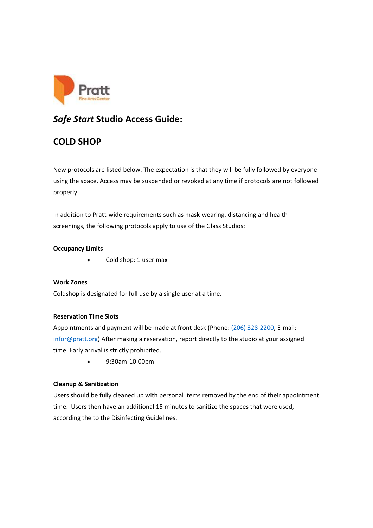

## *Safe Start* **Studio Access Guide:**

# **COLD SHOP**

New protocols are listed below. The expectation is that they will be fully followed by everyone using the space. Access may be suspended or revoked at any time if protocols are not followed properly.

In addition to Pratt-wide requirements such as mask-wearing, distancing and health screenings, the following protocols apply to use of the Glass Studios:

### **Occupancy Limits**

• Cold shop: 1 user max

**Work Zones** Coldshop is designated for full use by a single user at a time.

## **Reservation Time Slots**

Appointments and payment will be made at front desk (Phone: [\(206\) 328-2200,](https://www.google.com/search?q=pratt+fice+arts+center&rlz=1C1CHZL_enUS747US747&oq=pratt+fice+arts+center&aqs=chrome..69i57j0i19l3.4700j0j7&sourceid=chrome&ie=UTF-8) E-mail: [infor@pratt.org\)](mailto:infor@pratt.org) After making a reservation, report directly to the studio at your assigned time. Early arrival is strictly prohibited.

• 9:30am-10:00pm

### **Cleanup & Sanitization**

Users should be fully cleaned up with personal items removed by the end of their appointment time.  Users then have an additional 15 minutes to sanitize the spaces that were used, according the to the Disinfecting Guidelines.